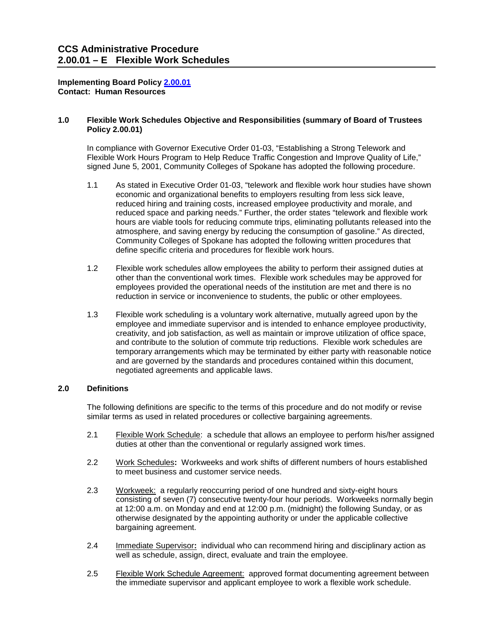#### **Implementing Board Policy [2.00.01](http://ccs.spokane.edu/About-Us/Leadership/Policies-Procedures/Chapter-2-Human-Resources#AccWE2-1)  Contact: Human Resources**

#### **1.0 Flexible Work Schedules Objective and Responsibilities (summary of Board of Trustees Policy 2.00.01)**

In compliance with Governor Executive Order 01-03, "Establishing a Strong Telework and Flexible Work Hours Program to Help Reduce Traffic Congestion and Improve Quality of Life," signed June 5, 2001, Community Colleges of Spokane has adopted the following procedure.

- 1.1 As stated in Executive Order 01-03, "telework and flexible work hour studies have shown economic and organizational benefits to employers resulting from less sick leave, reduced hiring and training costs, increased employee productivity and morale, and reduced space and parking needs." Further, the order states "telework and flexible work hours are viable tools for reducing commute trips, eliminating pollutants released into the atmosphere, and saving energy by reducing the consumption of gasoline." As directed, Community Colleges of Spokane has adopted the following written procedures that define specific criteria and procedures for flexible work hours.
- reduction in service or inconvenience to students, the public or other employees. 1.2 Flexible work schedules allow employees the ability to perform their assigned duties at other than the conventional work times. Flexible work schedules may be approved for employees provided the operational needs of the institution are met and there is no
- 1.3 Flexible work scheduling is a voluntary work alternative, mutually agreed upon by the employee and immediate supervisor and is intended to enhance employee productivity, creativity, and job satisfaction, as well as maintain or improve utilization of office space, and contribute to the solution of commute trip reductions. Flexible work schedules are temporary arrangements which may be terminated by either party with reasonable notice and are governed by the standards and procedures contained within this document, negotiated agreements and applicable laws.

#### **2.0 Definitions**

The following definitions are specific to the terms of this procedure and do not modify or revise similar terms as used in related procedures or collective bargaining agreements.

- 2.1 Flexible Work Schedule: a schedule that allows an employee to perform his/her assigned duties at other than the conventional or regularly assigned work times.
- 2.2 Work Schedules**:** Workweeks and work shifts of different numbers of hours established to meet business and customer service needs.
- 2.3 Workweek: a regularly reoccurring period of one hundred and sixty-eight hours consisting of seven (7) consecutive twenty-four hour periods. Workweeks normally begin at 12:00 a.m. on Monday and end at 12:00 p.m. (midnight) the following Sunday, or as otherwise designated by the appointing authority or under the applicable collective bargaining agreement.
- 2.4 Immediate Supervisor**:** individual who can recommend hiring and disciplinary action as well as schedule, assign, direct, evaluate and train the employee.
- 2.5 Flexible Work Schedule Agreement: approved format documenting agreement between the immediate supervisor and applicant employee to work a flexible work schedule.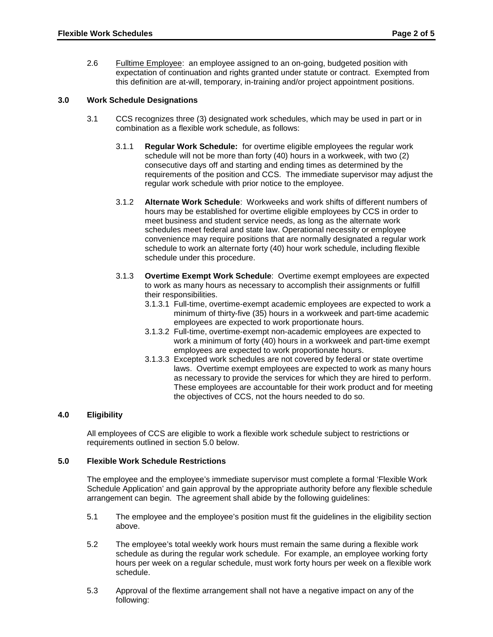2.6 Fulltime Employee: an employee assigned to an on-going, budgeted position with expectation of continuation and rights granted under statute or contract. Exempted from this definition are at-will, temporary, in-training and/or project appointment positions.

## **3.0 Work Schedule Designations**

- combination as a flexible work schedule, as follows: 3.1 CCS recognizes three (3) designated work schedules, which may be used in part or in
	- combination as a flexible work schedule, as follows:<br>3.1.1 **Regular Work Schedule:** for overtime eligible employees the regular work schedule will not be more than forty (40) hours in a workweek, with two (2) consecutive days off and starting and ending times as determined by the requirements of the position and CCS. The immediate supervisor may adjust the regular work schedule with prior notice to the employee.
	- 3.1.2 **Alternate Work Schedule**: Workweeks and work shifts of different numbers of convenience may require positions that are normally designated a regular work schedule to work an alternate forty (40) hour work schedule, including flexible hours may be established for overtime eligible employees by CCS in order to meet business and student service needs, as long as the alternate work schedules meet federal and state law. Operational necessity or employee schedule under this procedure.
	- their responsibilities. 3.1.3 **Overtime Exempt Work Schedule**: Overtime exempt employees are expected to work as many hours as necessary to accomplish their assignments or fulfill
		- 3.1.3.1 Full-time, overtime-exempt academic employees are expected to work a minimum of thirty-five (35) hours in a workweek and part-time academic employees are expected to work proportionate hours.
		- 3.1.3.2 Full-time, overtime-exempt non-academic employees are expected to work a minimum of forty (40) hours in a workweek and part-time exempt employees are expected to work proportionate hours.
		- as necessary to provide the services for which they are hired to perform. the objectives of CCS, not the hours needed to do so. 3.1.3.3 Excepted work schedules are not covered by federal or state overtime laws. Overtime exempt employees are expected to work as many hours These employees are accountable for their work product and for meeting

#### **4.0 Eligibility**

All employees of CCS are eligible to work a flexible work schedule subject to restrictions or requirements outlined in section 5.0 below.

#### **5.0 Flexible Work Schedule Restrictions**

The employee and the employee's immediate supervisor must complete a formal 'Flexible Work Schedule Application' and gain approval by the appropriate authority before any flexible schedule arrangement can begin. The agreement shall abide by the following guidelines:

- 5.1 The employee and the employee's position must fit the guidelines in the eligibility section above.
- 5.2 The employee's total weekly work hours must remain the same during a flexible work hours per week on a regular schedule, must work forty hours per week on a flexible work schedule as during the regular work schedule. For example, an employee working forty schedule.
- 5.3 Approval of the flextime arrangement shall not have a negative impact on any of the following: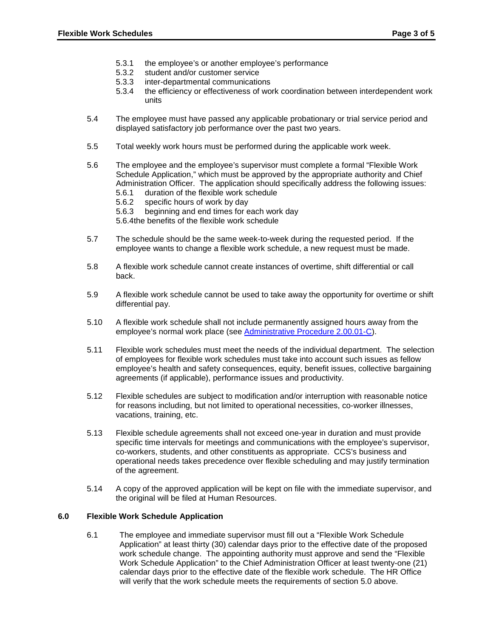- 5.3.1 the employee's or another employee's performance
- 5.3.2 student and/or customer service<br>5.3.3 inter-departmental communication
- inter-departmental communications
- 5.3.4 the efficiency or effectiveness of work coordination between interdependent work units
- 5.4 The employee must have passed any applicable probationary or trial service period and displayed satisfactory job performance over the past two years.
- 5.5 Total weekly work hours must be performed during the applicable work week.
- 5.6 The employee and the employee's supervisor must complete a formal "Flexible Work Schedule Application," which must be approved by the appropriate authority and Chief Administration Officer. The application should specifically address the following issues: 5.6.1 duration of the flexible work schedule
	-
	- 5.6.2 specific hours of work by day<br>5.6.3 beginning and end times for e beginning and end times for each work day
	- 5.6.4the benefits of the flexible work schedule
- 5.7 The schedule should be the same week-to-week during the requested period. If the employee wants to change a flexible work schedule, a new request must be made.
- 5.8 A flexible work schedule cannot create instances of overtime, shift differential or call back.
- 5.9 A flexible work schedule cannot be used to take away the opportunity for overtime or shift differential pay.
- 5.10 A flexible work schedule shall not include permanently assigned hours away from the employee's normal work place (see [Administrative Procedure 2.00.01-C\)](https://shared.spokane.edu/ccsglobal/media/Global/PDFs/District/Policies/CH2/2.00.00_PersAdmin/2-00-01C_Telecommuting.pdf).
- 5.11 Flexible work schedules must meet the needs of the individual department. The selection of employees for flexible work schedules must take into account such issues as fellow employee's health and safety consequences, equity, benefit issues, collective bargaining agreements (if applicable), performance issues and productivity.
- 5.12 Flexible schedules are subject to modification and/or interruption with reasonable notice for reasons including, but not limited to operational necessities, co-worker illnesses, vacations, training, etc.
- 5.13 Flexible schedule agreements shall not exceed one-year in duration and must provide specific time intervals for meetings and communications with the employee's supervisor, co-workers, students, and other constituents as appropriate. CCS's business and operational needs takes precedence over flexible scheduling and may justify termination of the agreement.
- 5.14 A copy of the approved application will be kept on file with the immediate supervisor, and the original will be filed at Human Resources.

## **6.0 Flexible Work Schedule Application**

 6.1 The employee and immediate supervisor must fill out a "Flexible Work Schedule Application" at least thirty (30) calendar days prior to the effective date of the proposed work schedule change. The appointing authority must approve and send the "Flexible Work Schedule Application" to the Chief Administration Officer at least twenty-one (21) calendar days prior to the effective date of the flexible work schedule. The HR Office will verify that the work schedule meets the requirements of section 5.0 above.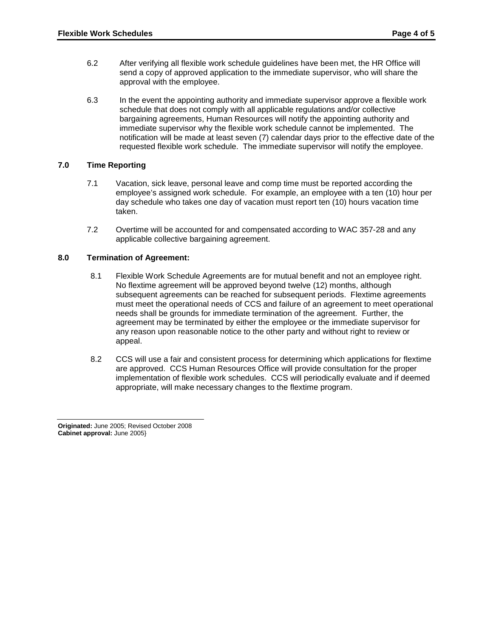- send a copy of approved application to the immediate supervisor, who will share the 6.2 After verifying all flexible work schedule guidelines have been met, the HR Office will approval with the employee.
- bargaining agreements, Human Resources will notify the appointing authority and immediate supervisor why the flexible work schedule cannot be implemented. The notification will be made at least seven (7) calendar days prior to the effective date of the requested flexible work schedule. The immediate supervisor will notify the employee. 6.3 In the event the appointing authority and immediate supervisor approve a flexible work schedule that does not comply with all applicable regulations and/or collective

# **7.0 Time Reporting**

- 7.1 Vacation, sick leave, personal leave and comp time must be reported according the employee's assigned work schedule. For example, an employee with a ten (10) hour per day schedule who takes one day of vacation must report ten (10) hours vacation time taken.
- 7.2 Overtime will be accounted for and compensated according to WAC 357-28 and any applicable collective bargaining agreement.

# **8.0 Termination of Agreement:**

- Flexible Work Schedule Agreements are for mutual benefit and not an employee right. 8.1 Flexible Work Schedule Agreements are for mutual benefit and not an employee right.<br>No flextime agreement will be approved beyond twelve (12) months, although must meet the operational needs of CCS and failure of an agreement to meet operational subsequent agreements can be reached for subsequent periods. Flextime agreements needs shall be grounds for immediate termination of the agreement. Further, the agreement may be terminated by either the employee or the immediate supervisor for any reason upon reasonable notice to the other party and without right to review or appeal.
- implementation of flexible work schedules. CCS will periodically evaluate and if deemed 8.2 CCS will use a fair and consistent process for determining which applications for flextime are approved. CCS Human Resources Office will provide consultation for the proper appropriate, will make necessary changes to the flextime program.

 **Cabinet approval:** June 2005} **Originated:** June 2005; Revised October 2008